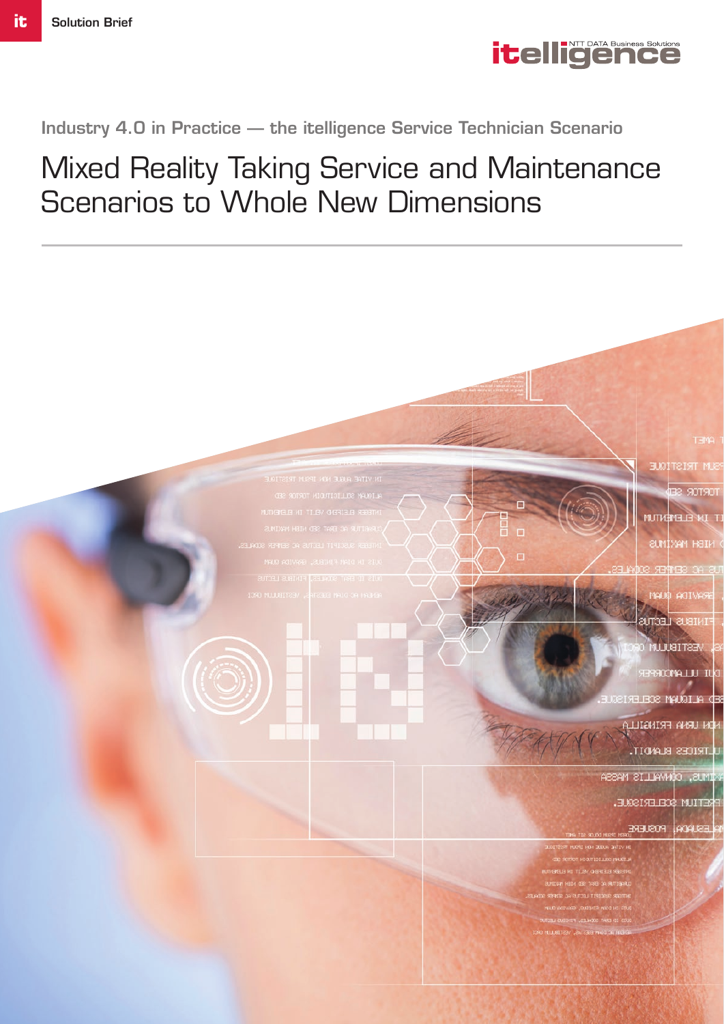

## Industry 4.0 in Practice — the itelligence Service Technician Scenario

## Mixed Reality Taking Service and Maintenance Scenarios to Whole New Dimensions



ELMIXAM HEID

imaali ESTIBULU

**SOOMALLU II** 

**D ALIQUAM SCEL** 

аштайга айы и TRICES BLANDIT.

офичні і павя **DRIN** 

ETIUM \$CELERISQUE

**POSUERE**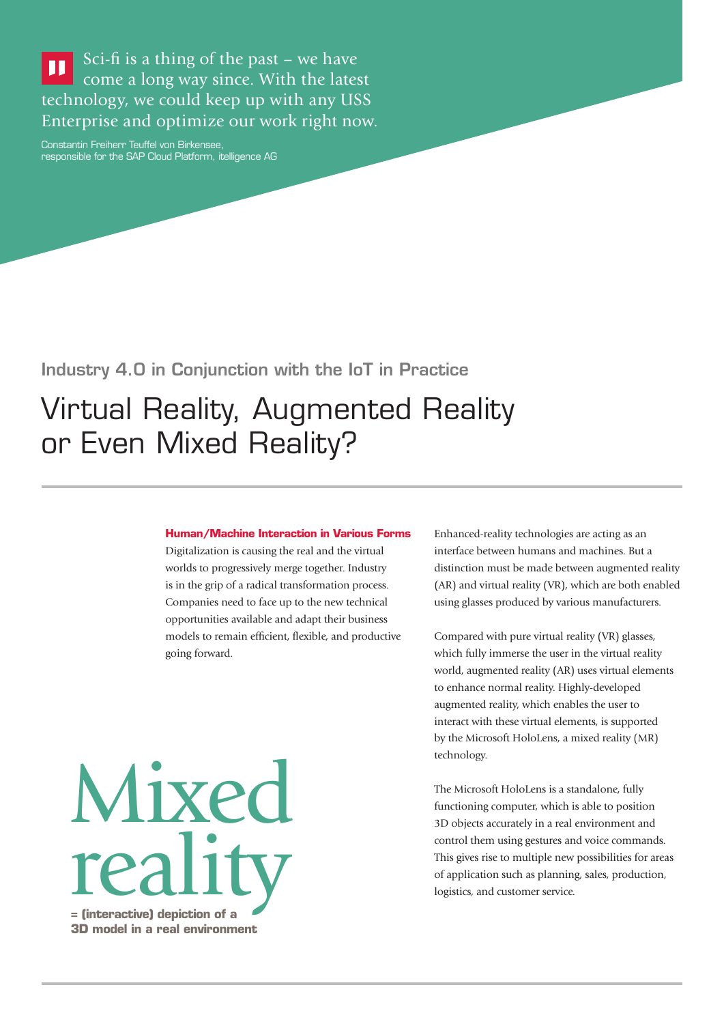Sci-fi is a thing of the past – we have  $\blacksquare$ come a long way since. With the latest technology, we could keep up with any USS Enterprise and optimize our work right now.

Constantin Freiherr Teuffel von Birkensee, responsible for the SAP Cloud Platform, itelligence AG

Industry 4.0 in Conjunction with the IoT in Practice

# Virtual Reality, Augmented Reality or Even Mixed Reality?

#### **Human/Machine Interaction in Various Forms**

Digitalization is causing the real and the virtual worlds to progressively merge together. Industry is in the grip of a radical transformation process. Companies need to face up to the new technical opportunities available and adapt their business models to remain efficient, flexible, and productive going forward.

**= (interactive) depiction of a 3D model in a real environment** Mixed reality

Enhanced-reality technologies are acting as an interface between humans and machines. But a distinction must be made between augmented reality (AR) and virtual reality (VR), which are both enabled using glasses produced by various manufacturers.

Compared with pure virtual reality (VR) glasses, which fully immerse the user in the virtual reality world, augmented reality (AR) uses virtual elements to enhance normal reality. Highly-developed augmented reality, which enables the user to interact with these virtual elements, is supported by the Microsoft HoloLens, a mixed reality (MR) technology.

The Microsoft HoloLens is a standalone, fully functioning computer, which is able to position 3D objects accurately in a real environment and control them using gestures and voice commands. This gives rise to multiple new possibilities for areas of application such as planning, sales, production, logistics, and customer service.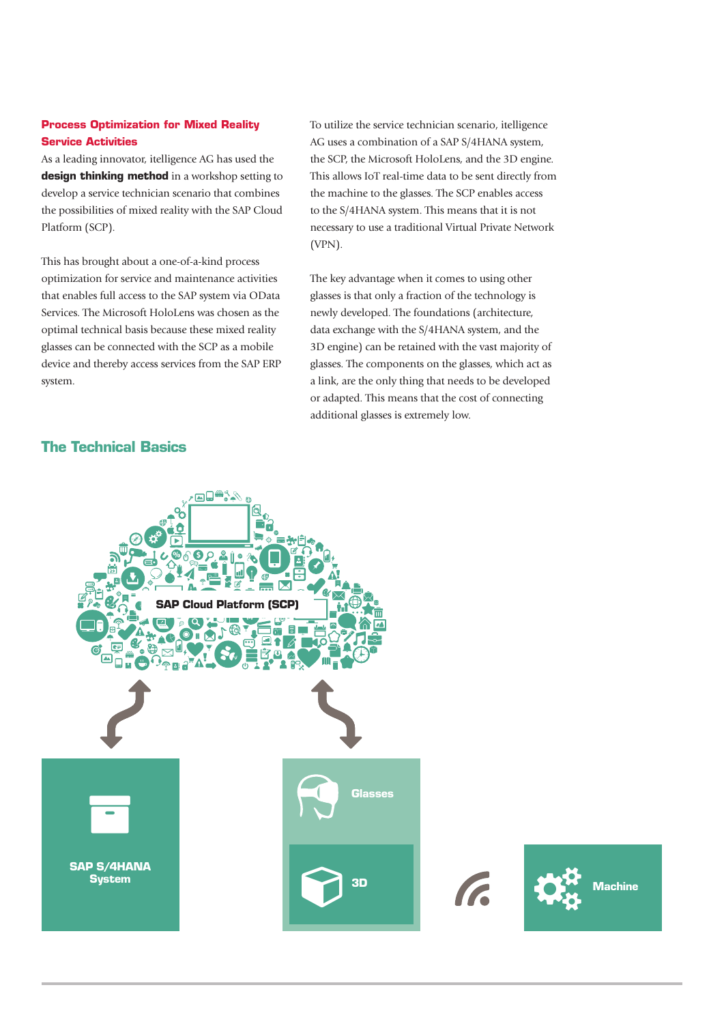#### **Process Optimization for Mixed Reality Service Activities**

As a leading innovator, itelligence AG has used the **design thinking method** in a workshop setting to develop a service technician scenario that combines the possibilities of mixed reality with the SAP Cloud Platform (SCP).

This has brought about a one-of-a-kind process optimization for service and maintenance activities that enables full access to the SAP system via OData Services. The Microsoft HoloLens was chosen as the optimal technical basis because these mixed reality glasses can be connected with the SCP as a mobile device and thereby access services from the SAP ERP system.

To utilize the service technician scenario, itelligence AG uses a combination of a SAP S/4HANA system, the SCP, the Microsoft HoloLens, and the 3D engine. This allows IoT real-time data to be sent directly from the machine to the glasses. The SCP enables access to the S/4HANA system. This means that it is not necessary to use a traditional Virtual Private Network (VPN).

The key advantage when it comes to using other glasses is that only a fraction of the technology is newly developed. The foundations (architecture, data exchange with the S/4HANA system, and the 3D engine) can be retained with the vast majority of glasses. The components on the glasses, which act as a link, are the only thing that needs to be developed or adapted. This means that the cost of connecting additional glasses is extremely low.

#### **The Technical Basics**